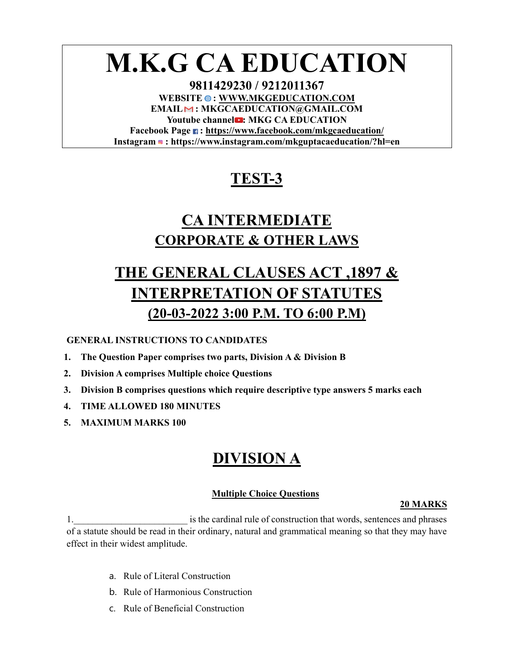# **M.K.G CA EDUCATION**

**9811429230 / 9212011367**  WEBSITE  $\bullet$ : WWW.MKGEDUCATION.COM **EMAIL : MKGCAEDUCATION@GMAIL.COM** Youtube channel<sup>2</sup>: MKG CA EDUCATION **Facebook Page : https://www.facebook.com/mkgcaeducation/ Instagram : https://www.instagram.com/mkguptacaeducation/?hl=en**

# **TEST-3**

# **CA INTERMEDIATE CORPORATE & OTHER LAWS**

# **THE GENERAL CLAUSES ACT ,1897 & INTERPRETATION OF STATUTES (20-03-2022 3:00 P.M. TO 6:00 P.M)**

# **GENERAL INSTRUCTIONS TO CANDIDATES**

- **1. The Question Paper comprises two parts, Division A & Division B**
- **2. Division A comprises Multiple choice Questions**
- **3. Division B comprises questions which require descriptive type answers 5 marks each**
- **4. TIME ALLOWED 180 MINUTES**
- **5. MAXIMUM MARKS 100**

# **DIVISION A**

# **Multiple Choice Questions**

# **20 MARKS**

1. The cardinal rule of construction that words, sentences and phrases is the cardinal rule of construction that words, sentences and phrases of a statute should be read in their ordinary, natural and grammatical meaning so that they may have effect in their widest amplitude.

- a. Rule of Literal Construction
- b. Rule of Harmonious Construction
- c. Rule of Beneficial Construction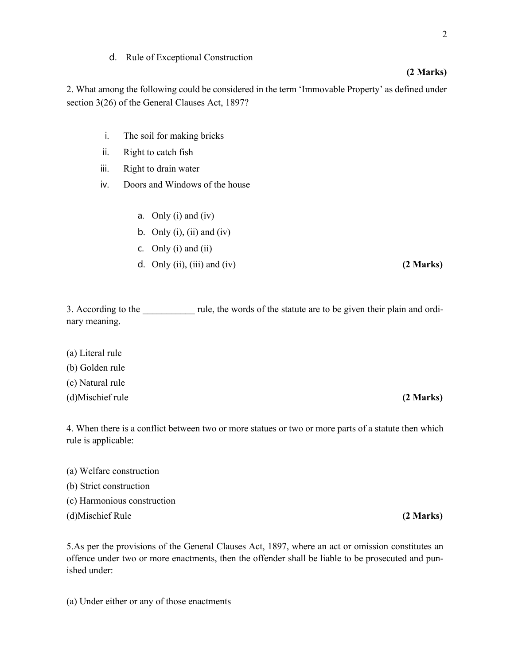# d. Rule of Exceptional Construction

2. What among the following could be considered in the term 'Immovable Property' as defined under section 3(26) of the General Clauses Act, 1897?

- i. The soil for making bricks
- ii. Right to catch fish
- iii. Right to drain water
- iv. Doors and Windows of the house
	- a. Only (i) and (iv)
	- b. Only  $(i)$ ,  $(ii)$  and  $(iv)$
	- c. Only  $(i)$  and  $(ii)$
	- d. Only (ii), (iii) and (iv) **(2 Marks)**

3. According to the rule, the words of the statute are to be given their plain and ordinary meaning.

- (a) Literal rule
- (b) Golden rule

(c) Natural rule

(d)Mischief rule **(2 Marks)**

4. When there is a conflict between two or more statues or two or more parts of a statute then which rule is applicable:

- (a) Welfare construction
- (b) Strict construction
- (c) Harmonious construction
- (d)Mischief Rule **(2 Marks)**

5.As per the provisions of the General Clauses Act, 1897, where an act or omission constitutes an offence under two or more enactments, then the offender shall be liable to be prosecuted and punished under:

(a) Under either or any of those enactments

# 2

# **(2 Marks)**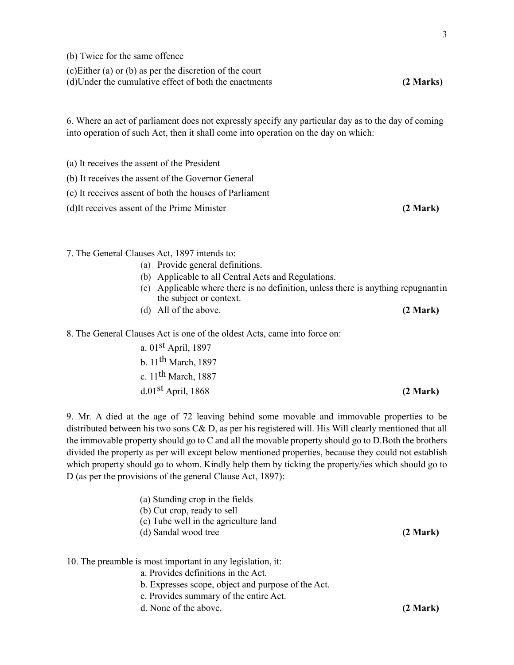(b) Twice for the same offence

(c)Either (a) or (b) as per the discretion of the court

(d)Under the cumulative effect of both the enactments **(2 Marks)**

6. Where an act of parliament does not expressly specify any particular day as to the day of coming into operation of such Act, then it shall come into operation on the day on which:

(a) It receives the assent of the President

(b) It receives the assent of the Governor General

(c) It receives assent of both the houses of Parliament

(d)It receives assent of the Prime Minister **(2 Mark)**

7. The General Clauses Act, 1897 intends to:

- (a) Provide general definitions.
- (b) Applicable to all Central Acts and Regulations.
- (c) Applicable where there is no definition, unless there is anything repugnant in the subject or context.
- (d) All of the above. **(2 Mark)**

8. The General Clauses Act is one of the oldest Acts, came into force on:

a. 01st April, 1897 b. 11th March, 1897 c.  $11<sup>th</sup>$  March, 1887 d.01st April, 1868 **(2 Mark)** 

9. Mr. A died at the age of 72 leaving behind some movable and immovable properties to be distributed between his two sons C& D, as per his registered will. His Will clearly mentioned that all the immovable property should go to C and all the movable property should go to D.Both the brothers divided the property as per will except below mentioned properties, because they could not establish which property should go to whom. Kindly help them by ticking the property/ies which should go to D (as per the provisions of the general Clause Act, 1897):

| (a) Standing crop in the fields<br>(b) Cut crop, ready to sell<br>(c) Tube well in the agriculture land<br>(d) Sandal wood tree | (2 Mark) |
|---------------------------------------------------------------------------------------------------------------------------------|----------|
| 10. The preamble is most important in any legislation, it:<br>a. Provides definitions in the Act.                               |          |

- b. Expresses scope, object and purpose of the Act.
- c. Provides summary of the entire Act.
- d. None of the above. **(2 Mark)**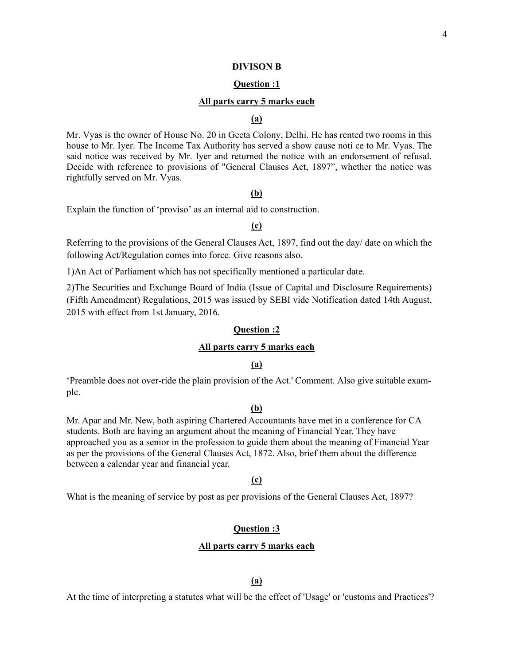#### **DIVISON B**

### **Question :1**

### **All parts carry 5 marks each**

# **(a)**

Mr. Vyas is the owner of House No. 20 in Geeta Colony, Delhi. He has rented two rooms in this house to Mr. Iyer. The Income Tax Authority has served a show cause noti ce to Mr. Vyas. The said notice was received by Mr. Iyer and returned the notice with an endorsement of refusal. Decide with reference to provisions of "General Clauses Act, 1897", whether the notice was rightfully served on Mr. Vyas.

# **(b)**

Explain the function of 'proviso' as an internal aid to construction.

# **(c)**

Referring to the provisions of the General Clauses Act, 1897, find out the day/ date on which the following Act/Regulation comes into force. Give reasons also.

1)An Act of Parliament which has not specifically mentioned a particular date.

2)The Securities and Exchange Board of India (Issue of Capital and Disclosure Requirements) (Fifth Amendment) Regulations, 2015 was issued by SEBI vide Notification dated 14th August, 2015 with effect from 1st January, 2016.

# **Question :2**

# **All parts carry 5 marks each**

# **(a)**

'Preamble does not over-ride the plain provision of the Act.' Comment. Also give suitable example.

### **(b)**

Mr. Apar and Mr. New, both aspiring Chartered Accountants have met in a conference for CA students. Both are having an argument about the meaning of Financial Year. They have approached you as a senior in the profession to guide them about the meaning of Financial Year as per the provisions of the General Clauses Act, 1872. Also, brief them about the difference between a calendar year and financial year.

# **(c)**

What is the meaning of service by post as per provisions of the General Clauses Act, 1897?

### **Question :3**

#### **All parts carry 5 marks each**

# **(a)**

At the time of interpreting a statutes what will be the effect of 'Usage' or 'customs and Practices'?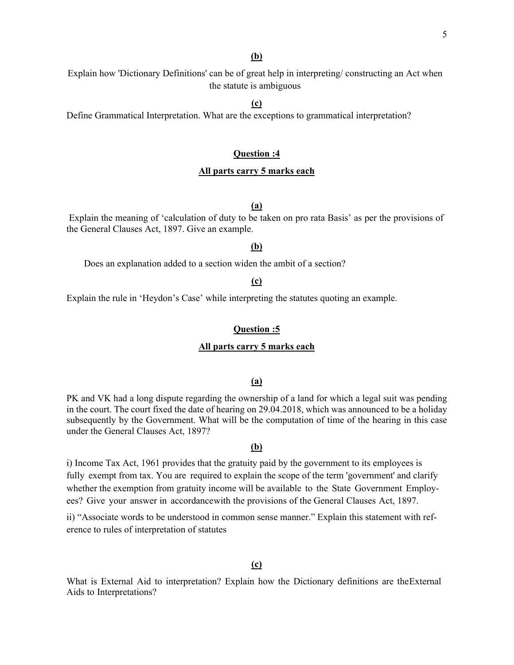# **(b)**

Explain how 'Dictionary Definitions' can be of great help in interpreting/ constructing an Act when the statute is ambiguous

**(c)** 

Define Grammatical Interpretation. What are the exceptions to grammatical interpretation?

# **Question :4**

# **All parts carry 5 marks each**

# **(a)**

 Explain the meaning of 'calculation of duty to be taken on pro rata Basis' as per the provisions of the General Clauses Act, 1897. Give an example.

# **(b)**

Does an explanation added to a section widen the ambit of a section?

# **(c)**

Explain the rule in 'Heydon's Case' while interpreting the statutes quoting an example.

# **Question :5**

# **All parts carry 5 marks each**

### **(a)**

PK and VK had a long dispute regarding the ownership of a land for which a legal suit was pending in the court. The court fixed the date of hearing on 29.04.2018, which was announced to be a holiday subsequently by the Government. What will be the computation of time of the hearing in this case under the General Clauses Act, 1897?

### **(b)**

i) Income Tax Act, 1961 provides that the gratuity paid by the government to its employees is fully exempt from tax. You are required to explain the scope of the term 'government' and clarify whether the exemption from gratuity income will be available to the State Government Employees? Give your answer in accordance with the provisions of the General Clauses Act, 1897.

ii) "Associate words to be understood in common sense manner." Explain this statement with reference to rules of interpretation of statutes

# **(c)**

What is External Aid to interpretation? Explain how the Dictionary definitions are the External Aids to Interpretations?